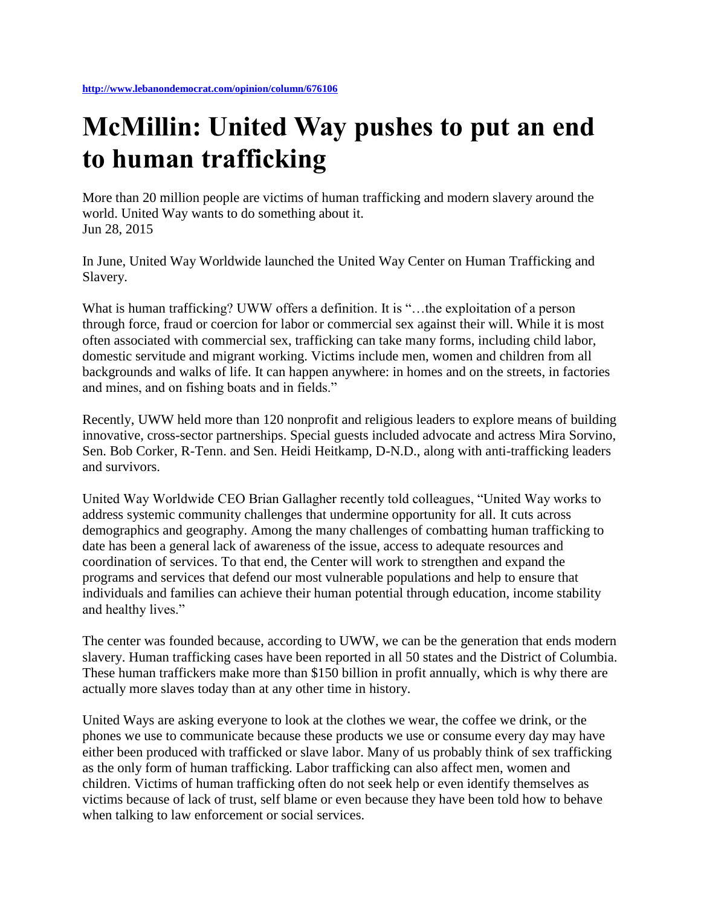## **McMillin: United Way pushes to put an end to human trafficking**

More than 20 million people are victims of human trafficking and modern slavery around the world. United Way wants to do something about it. Jun 28, 2015

In June, United Way Worldwide launched the United Way Center on Human Trafficking and Slavery.

What is human trafficking? UWW offers a definition. It is "...the exploitation of a person through force, fraud or coercion for labor or commercial sex against their will. While it is most often associated with commercial sex, trafficking can take many forms, including child labor, domestic servitude and migrant working. Victims include men, women and children from all backgrounds and walks of life. It can happen anywhere: in homes and on the streets, in factories and mines, and on fishing boats and in fields."

Recently, UWW held more than 120 nonprofit and religious leaders to explore means of building innovative, cross-sector partnerships. Special guests included advocate and actress Mira Sorvino, Sen. Bob Corker, R-Tenn. and Sen. Heidi Heitkamp, D-N.D., along with anti-trafficking leaders and survivors.

United Way Worldwide CEO Brian Gallagher recently told colleagues, "United Way works to address systemic community challenges that undermine opportunity for all. It cuts across demographics and geography. Among the many challenges of combatting human trafficking to date has been a general lack of awareness of the issue, access to adequate resources and coordination of services. To that end, the Center will work to strengthen and expand the programs and services that defend our most vulnerable populations and help to ensure that individuals and families can achieve their human potential through education, income stability and healthy lives."

The center was founded because, according to UWW, we can be the generation that ends modern slavery. Human trafficking cases have been reported in all 50 states and the District of Columbia. These human traffickers make more than \$150 billion in profit annually, which is why there are actually more slaves today than at any other time in history.

United Ways are asking everyone to look at the clothes we wear, the coffee we drink, or the phones we use to communicate because these products we use or consume every day may have either been produced with trafficked or slave labor. Many of us probably think of sex trafficking as the only form of human trafficking. Labor trafficking can also affect men, women and children. Victims of human trafficking often do not seek help or even identify themselves as victims because of lack of trust, self blame or even because they have been told how to behave when talking to law enforcement or social services.